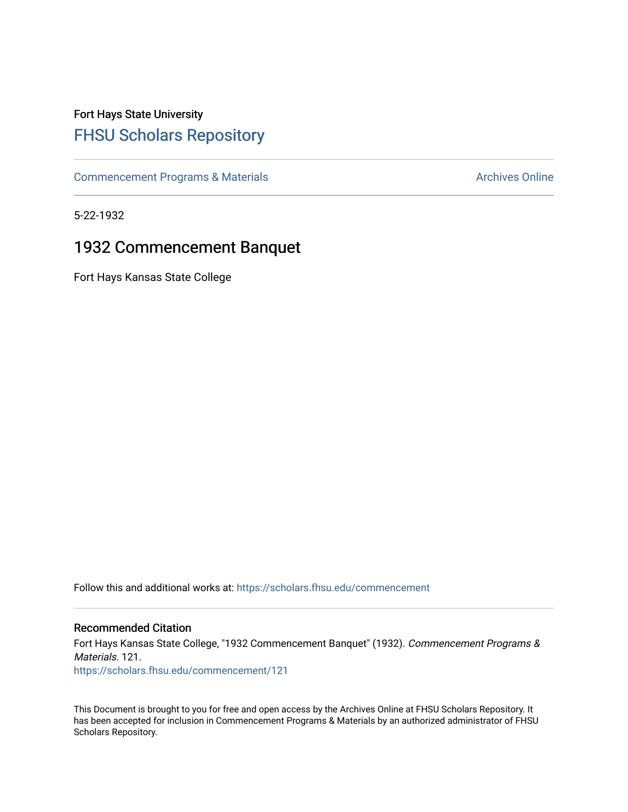# Fort Hays State University [FHSU Scholars Repository](https://scholars.fhsu.edu/)

[Commencement Programs & Materials](https://scholars.fhsu.edu/commencement) **Archives Online** Archives Online

5-22-1932

## 1932 Commencement Banquet

Fort Hays Kansas State College

Follow this and additional works at: [https://scholars.fhsu.edu/commencement](https://scholars.fhsu.edu/commencement?utm_source=scholars.fhsu.edu%2Fcommencement%2F121&utm_medium=PDF&utm_campaign=PDFCoverPages)

### Recommended Citation

Fort Hays Kansas State College, "1932 Commencement Banquet" (1932). Commencement Programs & Materials. 121. [https://scholars.fhsu.edu/commencement/121](https://scholars.fhsu.edu/commencement/121?utm_source=scholars.fhsu.edu%2Fcommencement%2F121&utm_medium=PDF&utm_campaign=PDFCoverPages)

This Document is brought to you for free and open access by the Archives Online at FHSU Scholars Repository. It has been accepted for inclusion in Commencement Programs & Materials by an authorized administrator of FHSU Scholars Repository.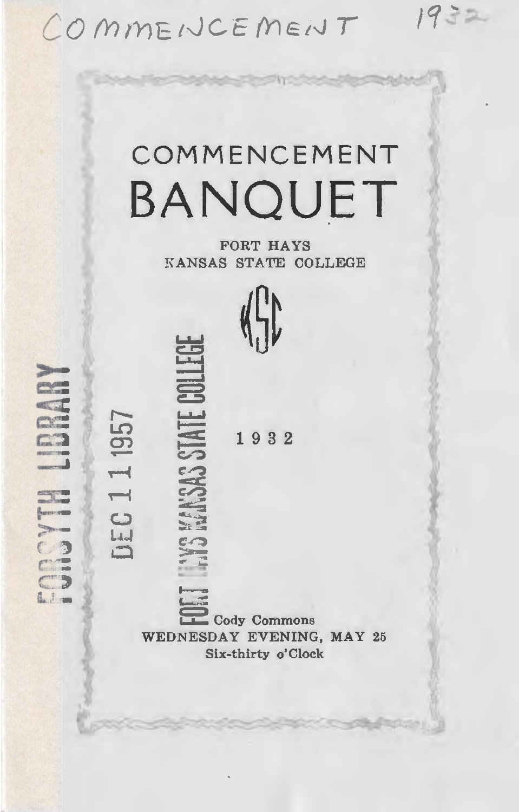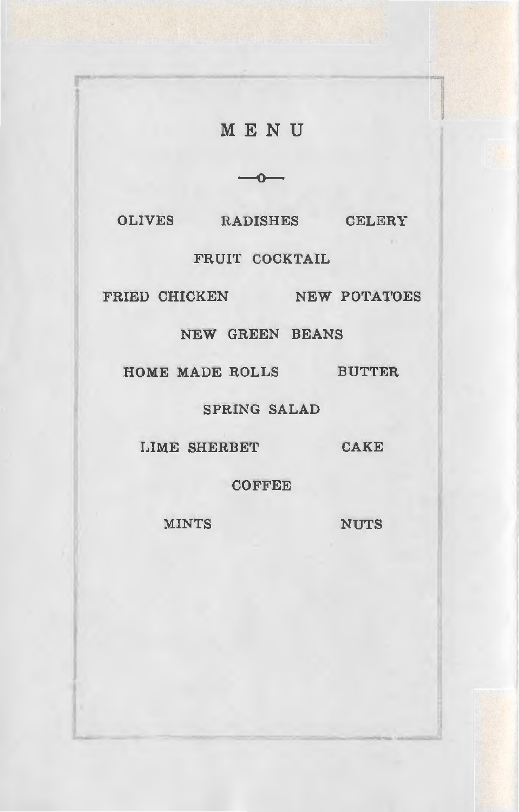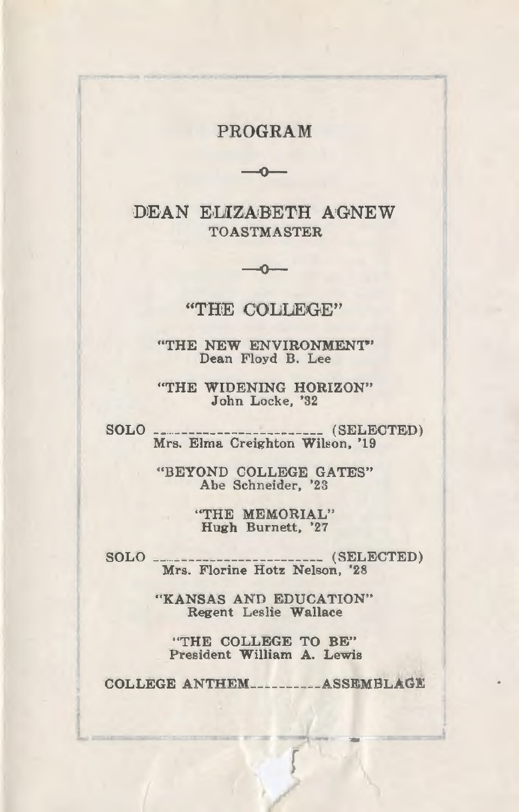## PROGRAM  $-0-$

DEAN ELIZABETH AGNEW **TOASTMASTER** 

#### "THE COLLEGE"

 $-0-$ 

"THE NEW ENVIRONMENT" Dean Floyd B. Lee

"THE WIDENING HORIZON" John Locke, '32

SOLO. ... (SELECTED) Mrs. Elma Creighton Wilson, '19

> "BEYOND COLLEGE GATES" Abe Schneider, '23

> > "THE MEMORIAL" Hugh Burnett, '27

SOLO. .... (SELECTED) Mrs. Florine Hotz Nelson, '28

> "KANSAS AND EDUCATION" Regent Leslie Wallace

"THE COLLEGE TO BE" President William A. Lewis

COLLEGE ANTHEM.........ASSEMBLAGE